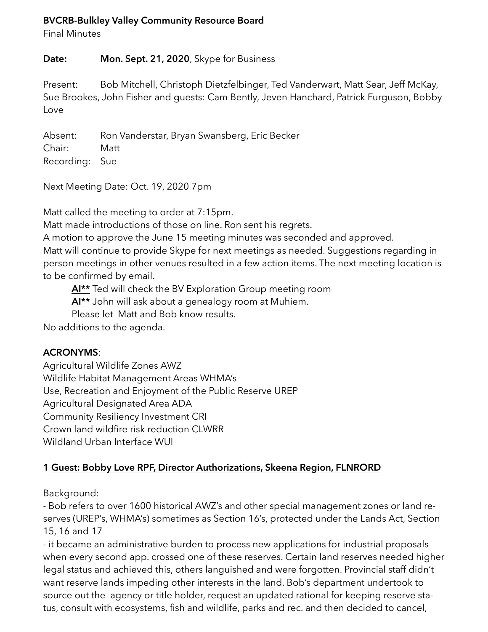#### **BVCRB-Bulkley Valley Community Resource Board**

Final Minutes

#### **Date: Mon. Sept. 21, 2020**, Skype for Business

Present: Bob Mitchell, Christoph Dietzfelbinger, Ted Vanderwart, Matt Sear, Jeff McKay, Sue Brookes, John Fisher and guests: Cam Bently, Jeven Hanchard, Patrick Furguson, Bobby Love

Absent: Ron Vanderstar, Bryan Swansberg, Eric Becker Chair: Matt Recording: Sue

Next Meeting Date: Oct. 19, 2020 7pm

Matt called the meeting to order at 7:15pm.

Matt made introductions of those on line. Ron sent his regrets.

A motion to approve the June 15 meeting minutes was seconded and approved.

Matt will continue to provide Skype for next meetings as needed. Suggestions regarding in person meetings in other venues resulted in a few action items. The next meeting location is to be confirmed by email.

**AI\*\*** Ted will check the BV Exploration Group meeting room

**AI\*\*** John will ask about a genealogy room at Muhiem.

Please let Matt and Bob know results.

No additions to the agenda.

# **ACRONYMS**:

Agricultural Wildlife Zones AWZ Wildlife Habitat Management Areas WHMA's Use, Recreation and Enjoyment of the Public Reserve UREP Agricultural Designated Area ADA Community Resiliency Investment CRI Crown land wildfire risk reduction CLWRR Wildland Urban Interface WUI

# **1 Guest: Bobby Love RPF, Director Authorizations, Skeena Region, FLNRORD**

Background:

- Bob refers to over 1600 historical AWZ's and other special management zones or land reserves (UREP's, WHMA's) sometimes as Section 16's, protected under the Lands Act, Section 15, 16 and 17

- it became an administrative burden to process new applications for industrial proposals when every second app. crossed one of these reserves. Certain land reserves needed higher legal status and achieved this, others languished and were forgotten. Provincial staff didn't want reserve lands impeding other interests in the land. Bob's department undertook to source out the agency or title holder, request an updated rational for keeping reserve status, consult with ecosystems, fish and wildlife, parks and rec. and then decided to cancel,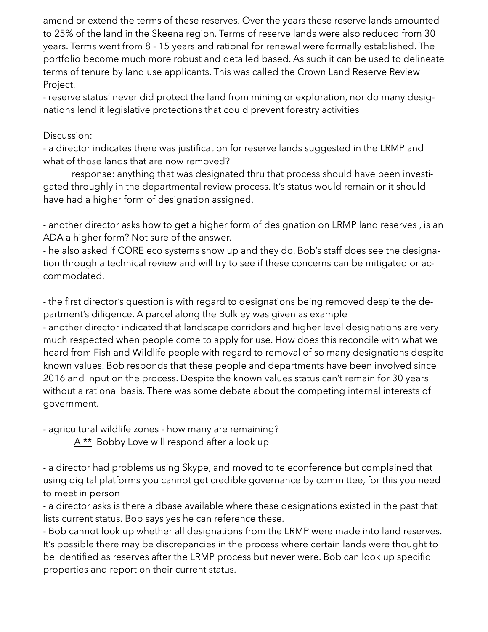amend or extend the terms of these reserves. Over the years these reserve lands amounted to 25% of the land in the Skeena region. Terms of reserve lands were also reduced from 30 years. Terms went from 8 - 15 years and rational for renewal were formally established. The portfolio become much more robust and detailed based. As such it can be used to delineate terms of tenure by land use applicants. This was called the Crown Land Reserve Review Project.

- reserve status' never did protect the land from mining or exploration, nor do many designations lend it legislative protections that could prevent forestry activities

#### Discussion:

- a director indicates there was justification for reserve lands suggested in the LRMP and what of those lands that are now removed?

 response: anything that was designated thru that process should have been investigated throughly in the departmental review process. It's status would remain or it should have had a higher form of designation assigned.

- another director asks how to get a higher form of designation on LRMP land reserves , is an ADA a higher form? Not sure of the answer.

- he also asked if CORE eco systems show up and they do. Bob's staff does see the designation through a technical review and will try to see if these concerns can be mitigated or accommodated.

- the first director's question is with regard to designations being removed despite the department's diligence. A parcel along the Bulkley was given as example

- another director indicated that landscape corridors and higher level designations are very much respected when people come to apply for use. How does this reconcile with what we heard from Fish and Wildlife people with regard to removal of so many designations despite known values. Bob responds that these people and departments have been involved since 2016 and input on the process. Despite the known values status can't remain for 30 years without a rational basis. There was some debate about the competing internal interests of government.

- agricultural wildlife zones - how many are remaining?  $Al**$  Bobby Love will respond after a look up

- a director had problems using Skype, and moved to teleconference but complained that using digital platforms you cannot get credible governance by committee, for this you need to meet in person

- a director asks is there a dbase available where these designations existed in the past that lists current status. Bob says yes he can reference these.

- Bob cannot look up whether all designations from the LRMP were made into land reserves. It's possible there may be discrepancies in the process where certain lands were thought to be identified as reserves after the LRMP process but never were. Bob can look up specific properties and report on their current status.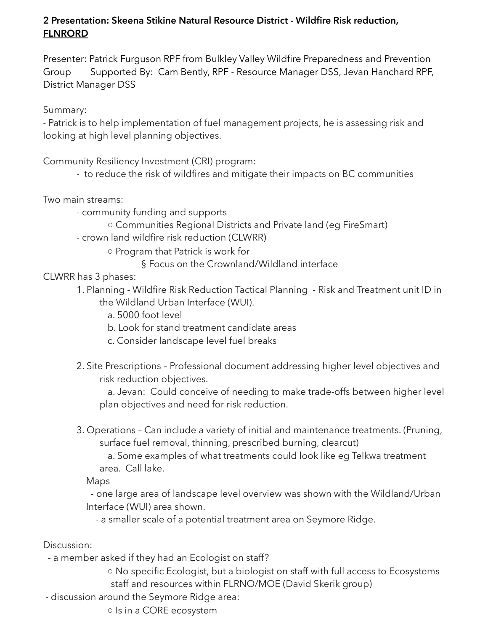# **2 Presentation: Skeena Stikine Natural Resource District - Wildfire Risk reduction, FLNRORD**

Presenter: Patrick Furguson RPF from Bulkley Valley Wildfire Preparedness and Prevention Group Supported By: Cam Bently, RPF - Resource Manager DSS, Jevan Hanchard RPF, District Manager DSS

Summary:

- Patrick is to help implementation of fuel management projects, he is assessing risk and looking at high level planning objectives.

Community Resiliency Investment (CRI) program:

- to reduce the risk of wildfires and mitigate their impacts on BC communities

Two main streams:

- - community funding and supports
	- Communities Regional Districts and Private land (eg FireSmart)
- - crown land wildfire risk reduction (CLWRR)
	- Program that Patrick is work for

§ Focus on the Crownland/Wildland interface

CLWRR has 3 phases:

- 1. Planning Wildfire Risk Reduction Tactical Planning Risk and Treatment unit ID in the Wildland Urban Interface (WUI).
	- a. 5000 foot level
	- b. Look for stand treatment candidate areas
	- c. Consider landscape level fuel breaks
- 2. Site Prescriptions Professional document addressing higher level objectives and risk reduction objectives.

 a. Jevan: Could conceive of needing to make trade-offs between higher level plan objectives and need for risk reduction.

 3. Operations – Can include a variety of initial and maintenance treatments. (Pruning, surface fuel removal, thinning, prescribed burning, clearcut)

 a. Some examples of what treatments could look like eg Telkwa treatment area. Call lake.

Maps

 - one large area of landscape level overview was shown with the Wildland/Urban Interface (WUI) area shown.

- a smaller scale of a potential treatment area on Seymore Ridge.

Discussion:

- a member asked if they had an Ecologist on staff?

 ○ No specific Ecologist, but a biologist on staff with full access to Ecosystems staff and resources within FLRNO/MOE (David Skerik group)

- discussion around the Seymore Ridge area:

○ Is in a CORE ecosystem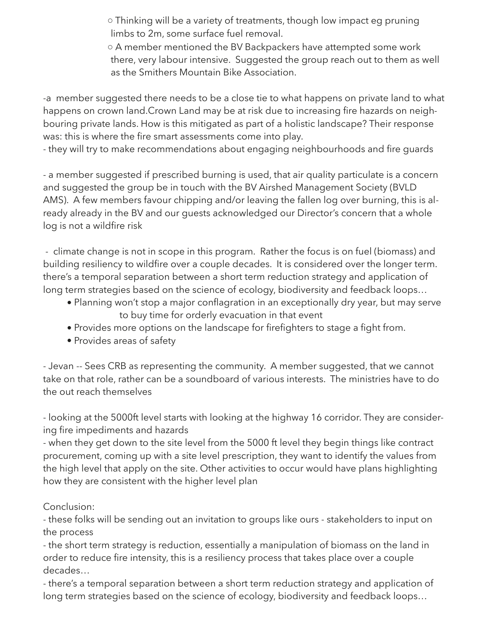○ Thinking will be a variety of treatments, though low impact eg pruning limbs to 2m, some surface fuel removal.

 ○ A member mentioned the BV Backpackers have attempted some work there, very labour intensive. Suggested the group reach out to them as well as the Smithers Mountain Bike Association.

-a member suggested there needs to be a close tie to what happens on private land to what happens on crown land.Crown Land may be at risk due to increasing fire hazards on neighbouring private lands. How is this mitigated as part of a holistic landscape? Their response was: this is where the fire smart assessments come into play.

- they will try to make recommendations about engaging neighbourhoods and fire guards

- a member suggested if prescribed burning is used, that air quality particulate is a concern and suggested the group be in touch with the BV Airshed Management Society (BVLD AMS). A few members favour chipping and/or leaving the fallen log over burning, this is already already in the BV and our guests acknowledged our Director's concern that a whole log is not a wildfire risk

- climate change is not in scope in this program. Rather the focus is on fuel (biomass) and building resiliency to wildfire over a couple decades. It is considered over the longer term. there's a temporal separation between a short term reduction strategy and application of long term strategies based on the science of ecology, biodiversity and feedback loops…

- Planning won't stop a major conflagration in an exceptionally dry year, but may serve to buy time for orderly evacuation in that event
- Provides more options on the landscape for firefighters to stage a fight from.
- Provides areas of safety

- Jevan -- Sees CRB as representing the community. A member suggested, that we cannot take on that role, rather can be a soundboard of various interests. The ministries have to do the out reach themselves

- looking at the 5000ft level starts with looking at the highway 16 corridor. They are considering fire impediments and hazards

- when they get down to the site level from the 5000 ft level they begin things like contract procurement, coming up with a site level prescription, they want to identify the values from the high level that apply on the site. Other activities to occur would have plans highlighting how they are consistent with the higher level plan

# Conclusion:

- these folks will be sending out an invitation to groups like ours - stakeholders to input on the process

- the short term strategy is reduction, essentially a manipulation of biomass on the land in order to reduce fire intensity, this is a resiliency process that takes place over a couple decades…

- there's a temporal separation between a short term reduction strategy and application of long term strategies based on the science of ecology, biodiversity and feedback loops…